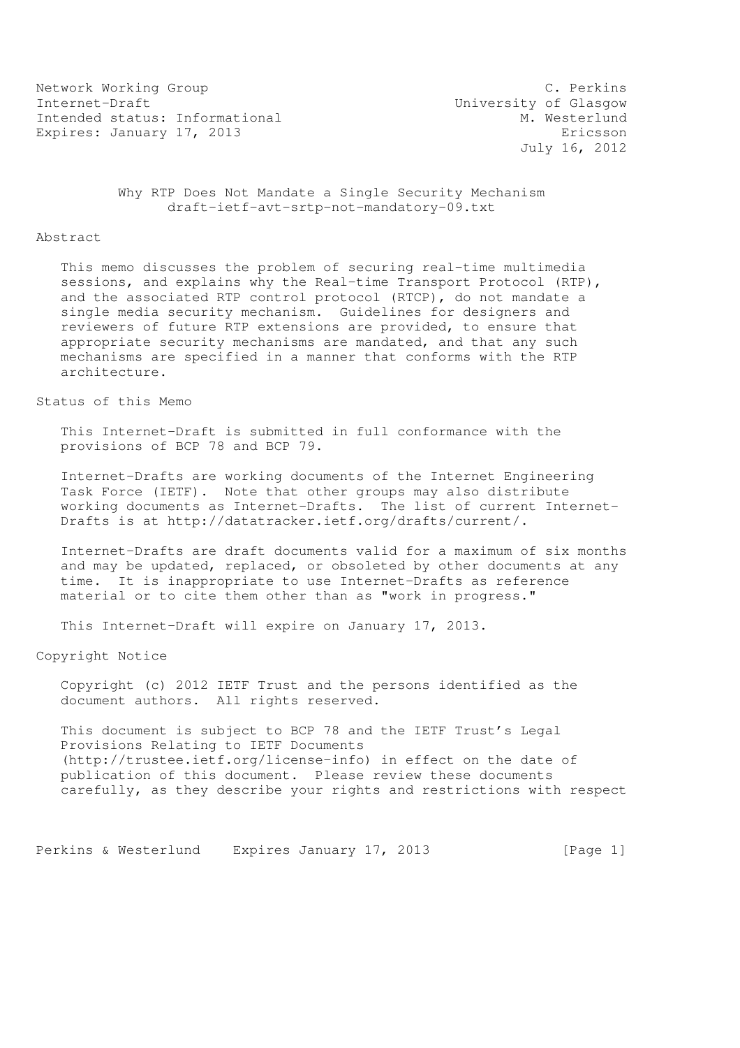Network Working Group C. Perkins Internet-Draft<br>Intended status: Informational M. Westerlund Intended status: Informational Expires: January 17, 2013 **Expires:** Expires: January 17, 2013

July 16, 2012

 Why RTP Does Not Mandate a Single Security Mechanism draft-ietf-avt-srtp-not-mandatory-09.txt

#### Abstract

 This memo discusses the problem of securing real-time multimedia sessions, and explains why the Real-time Transport Protocol (RTP), and the associated RTP control protocol (RTCP), do not mandate a single media security mechanism. Guidelines for designers and reviewers of future RTP extensions are provided, to ensure that appropriate security mechanisms are mandated, and that any such mechanisms are specified in a manner that conforms with the RTP architecture.

### Status of this Memo

 This Internet-Draft is submitted in full conformance with the provisions of BCP 78 and BCP 79.

 Internet-Drafts are working documents of the Internet Engineering Task Force (IETF). Note that other groups may also distribute working documents as Internet-Drafts. The list of current Internet- Drafts is at http://datatracker.ietf.org/drafts/current/.

 Internet-Drafts are draft documents valid for a maximum of six months and may be updated, replaced, or obsoleted by other documents at any time. It is inappropriate to use Internet-Drafts as reference material or to cite them other than as "work in progress."

This Internet-Draft will expire on January 17, 2013.

Copyright Notice

 Copyright (c) 2012 IETF Trust and the persons identified as the document authors. All rights reserved.

 This document is subject to BCP 78 and the IETF Trust's Legal Provisions Relating to IETF Documents (http://trustee.ietf.org/license-info) in effect on the date of publication of this document. Please review these documents carefully, as they describe your rights and restrictions with respect

Perkins & Westerlund Expires January 17, 2013 [Page 1]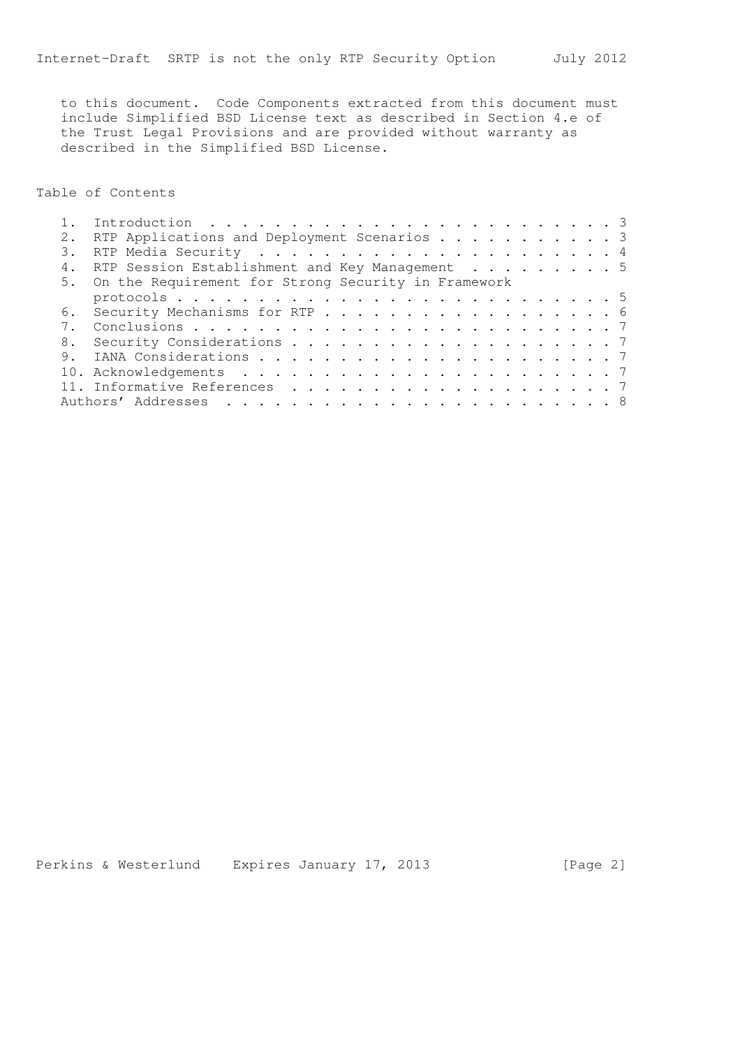to this document. Code Components extracted from this document must include Simplified BSD License text as described in Section 4.e of the Trust Legal Provisions and are provided without warranty as described in the Simplified BSD License.

Table of Contents

|    | RTP Applications and Deployment Scenarios 3            |  |
|----|--------------------------------------------------------|--|
|    |                                                        |  |
| 4. | RTP Session Establishment and Key Management 5         |  |
|    | 5. On the Requirement for Strong Security in Framework |  |
|    |                                                        |  |
|    | 6. Security Mechanisms for RTP 6                       |  |
|    |                                                        |  |
|    |                                                        |  |
| 9. |                                                        |  |
|    |                                                        |  |
|    |                                                        |  |
|    |                                                        |  |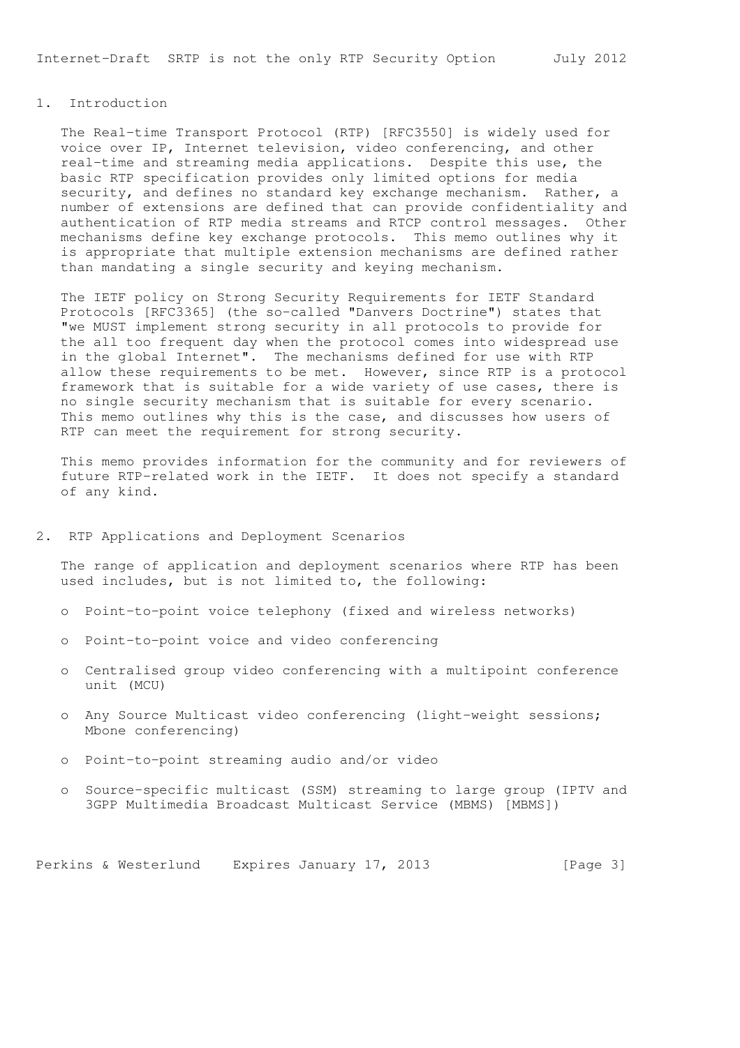# 1. Introduction

 The Real-time Transport Protocol (RTP) [RFC3550] is widely used for voice over IP, Internet television, video conferencing, and other real-time and streaming media applications. Despite this use, the basic RTP specification provides only limited options for media security, and defines no standard key exchange mechanism. Rather, a number of extensions are defined that can provide confidentiality and authentication of RTP media streams and RTCP control messages. Other mechanisms define key exchange protocols. This memo outlines why it is appropriate that multiple extension mechanisms are defined rather than mandating a single security and keying mechanism.

 The IETF policy on Strong Security Requirements for IETF Standard Protocols [RFC3365] (the so-called "Danvers Doctrine") states that "we MUST implement strong security in all protocols to provide for the all too frequent day when the protocol comes into widespread use in the global Internet". The mechanisms defined for use with RTP allow these requirements to be met. However, since RTP is a protocol framework that is suitable for a wide variety of use cases, there is no single security mechanism that is suitable for every scenario. This memo outlines why this is the case, and discusses how users of RTP can meet the requirement for strong security.

 This memo provides information for the community and for reviewers of future RTP-related work in the IETF. It does not specify a standard of any kind.

### 2. RTP Applications and Deployment Scenarios

 The range of application and deployment scenarios where RTP has been used includes, but is not limited to, the following:

- o Point-to-point voice telephony (fixed and wireless networks)
- o Point-to-point voice and video conferencing
- o Centralised group video conferencing with a multipoint conference unit (MCU)
- o Any Source Multicast video conferencing (light-weight sessions; Mbone conferencing)
- o Point-to-point streaming audio and/or video
- o Source-specific multicast (SSM) streaming to large group (IPTV and 3GPP Multimedia Broadcast Multicast Service (MBMS) [MBMS])

Perkins & Westerlund Expires January 17, 2013 [Page 3]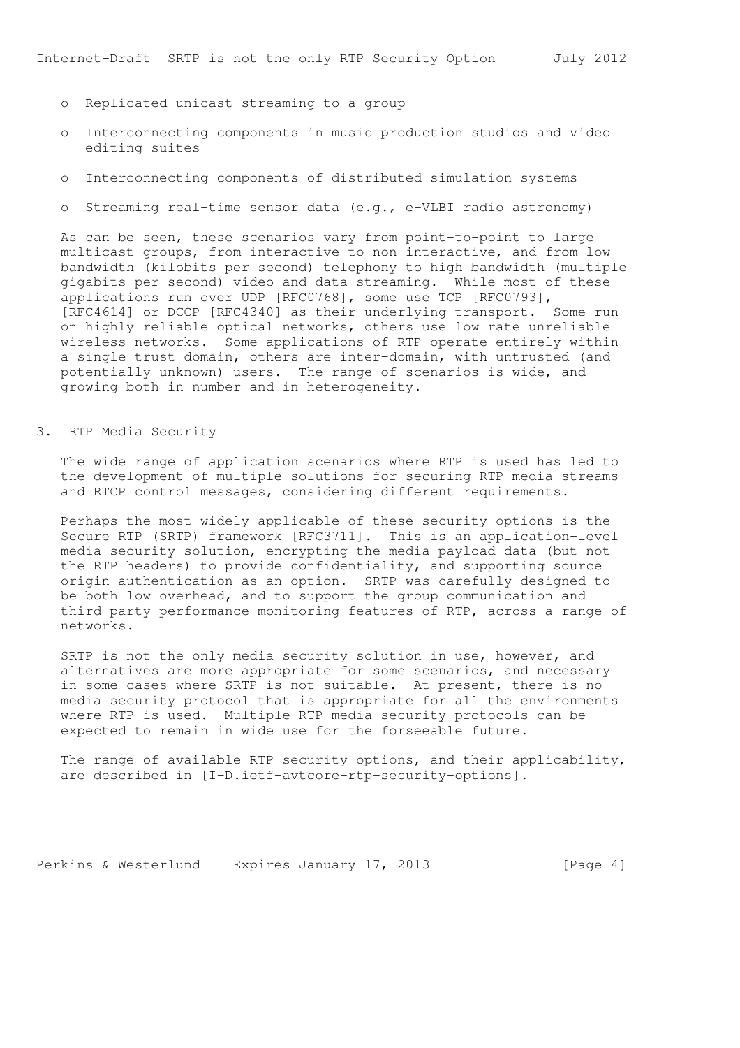- o Replicated unicast streaming to a group
- o Interconnecting components in music production studios and video editing suites
- o Interconnecting components of distributed simulation systems
- o Streaming real-time sensor data (e.g., e-VLBI radio astronomy)

 As can be seen, these scenarios vary from point-to-point to large multicast groups, from interactive to non-interactive, and from low bandwidth (kilobits per second) telephony to high bandwidth (multiple gigabits per second) video and data streaming. While most of these applications run over UDP [RFC0768], some use TCP [RFC0793], [RFC4614] or DCCP [RFC4340] as their underlying transport. Some run on highly reliable optical networks, others use low rate unreliable wireless networks. Some applications of RTP operate entirely within a single trust domain, others are inter-domain, with untrusted (and potentially unknown) users. The range of scenarios is wide, and growing both in number and in heterogeneity.

### 3. RTP Media Security

 The wide range of application scenarios where RTP is used has led to the development of multiple solutions for securing RTP media streams and RTCP control messages, considering different requirements.

 Perhaps the most widely applicable of these security options is the Secure RTP (SRTP) framework [RFC3711]. This is an application-level media security solution, encrypting the media payload data (but not the RTP headers) to provide confidentiality, and supporting source origin authentication as an option. SRTP was carefully designed to be both low overhead, and to support the group communication and third-party performance monitoring features of RTP, across a range of networks.

 SRTP is not the only media security solution in use, however, and alternatives are more appropriate for some scenarios, and necessary in some cases where SRTP is not suitable. At present, there is no media security protocol that is appropriate for all the environments where RTP is used. Multiple RTP media security protocols can be expected to remain in wide use for the forseeable future.

 The range of available RTP security options, and their applicability, are described in [I-D.ietf-avtcore-rtp-security-options].

Perkins & Westerlund Expires January 17, 2013 [Page 4]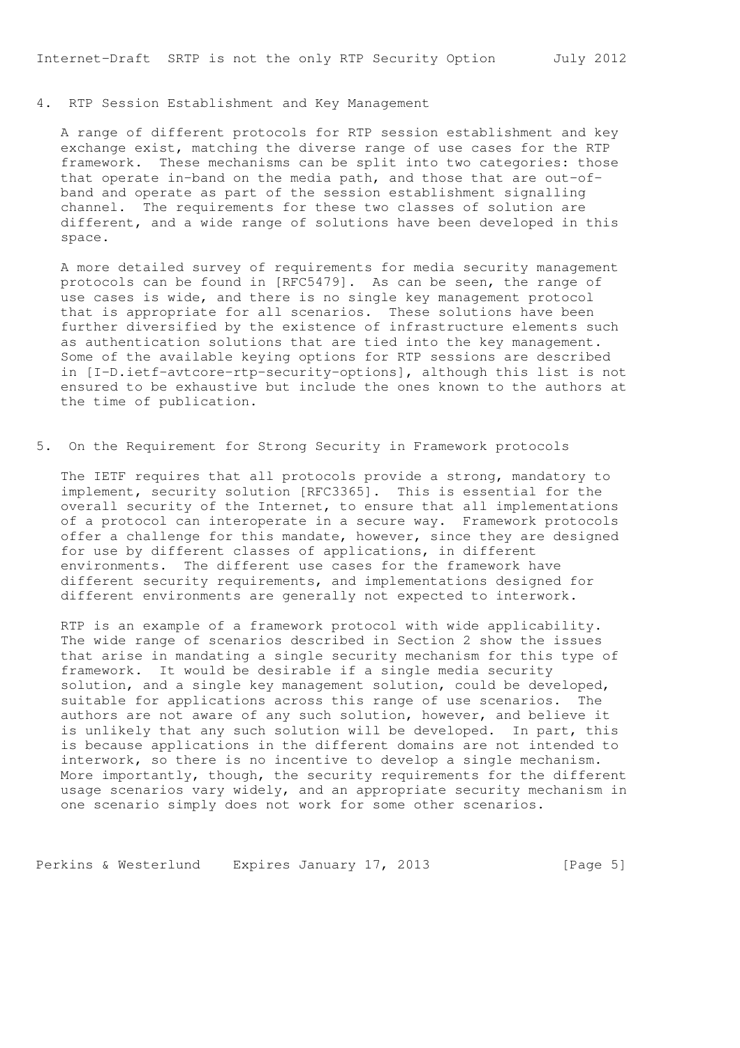### 4. RTP Session Establishment and Key Management

 A range of different protocols for RTP session establishment and key exchange exist, matching the diverse range of use cases for the RTP framework. These mechanisms can be split into two categories: those that operate in-band on the media path, and those that are out-of band and operate as part of the session establishment signalling channel. The requirements for these two classes of solution are different, and a wide range of solutions have been developed in this space.

 A more detailed survey of requirements for media security management protocols can be found in [RFC5479]. As can be seen, the range of use cases is wide, and there is no single key management protocol that is appropriate for all scenarios. These solutions have been further diversified by the existence of infrastructure elements such as authentication solutions that are tied into the key management. Some of the available keying options for RTP sessions are described in [I-D.ietf-avtcore-rtp-security-options], although this list is not ensured to be exhaustive but include the ones known to the authors at the time of publication.

5. On the Requirement for Strong Security in Framework protocols

 The IETF requires that all protocols provide a strong, mandatory to implement, security solution [RFC3365]. This is essential for the overall security of the Internet, to ensure that all implementations of a protocol can interoperate in a secure way. Framework protocols offer a challenge for this mandate, however, since they are designed for use by different classes of applications, in different environments. The different use cases for the framework have different security requirements, and implementations designed for different environments are generally not expected to interwork.

 RTP is an example of a framework protocol with wide applicability. The wide range of scenarios described in Section 2 show the issues that arise in mandating a single security mechanism for this type of framework. It would be desirable if a single media security solution, and a single key management solution, could be developed, suitable for applications across this range of use scenarios. The authors are not aware of any such solution, however, and believe it is unlikely that any such solution will be developed. In part, this is because applications in the different domains are not intended to interwork, so there is no incentive to develop a single mechanism. More importantly, though, the security requirements for the different usage scenarios vary widely, and an appropriate security mechanism in one scenario simply does not work for some other scenarios.

Perkins & Westerlund Expires January 17, 2013 [Page 5]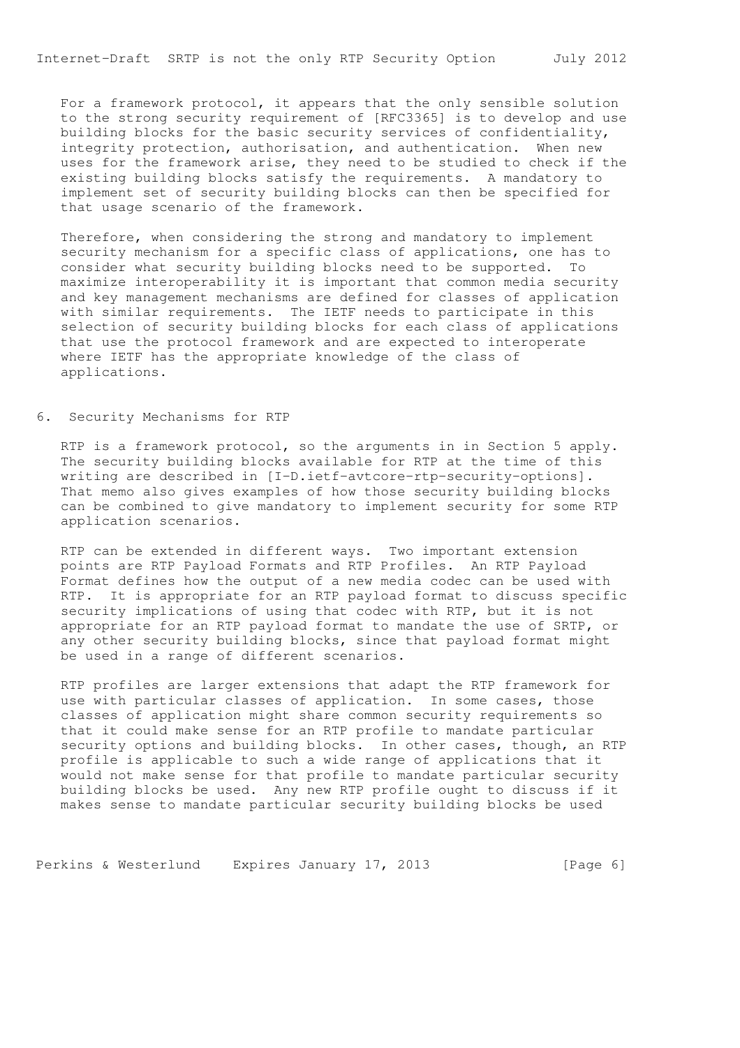Internet-Draft SRTP is not the only RTP Security Option July 2012

 For a framework protocol, it appears that the only sensible solution to the strong security requirement of [RFC3365] is to develop and use building blocks for the basic security services of confidentiality, integrity protection, authorisation, and authentication. When new uses for the framework arise, they need to be studied to check if the existing building blocks satisfy the requirements. A mandatory to implement set of security building blocks can then be specified for that usage scenario of the framework.

 Therefore, when considering the strong and mandatory to implement security mechanism for a specific class of applications, one has to consider what security building blocks need to be supported. To maximize interoperability it is important that common media security and key management mechanisms are defined for classes of application with similar requirements. The IETF needs to participate in this selection of security building blocks for each class of applications that use the protocol framework and are expected to interoperate where IETF has the appropriate knowledge of the class of applications.

## 6. Security Mechanisms for RTP

 RTP is a framework protocol, so the arguments in in Section 5 apply. The security building blocks available for RTP at the time of this writing are described in [I-D.ietf-avtcore-rtp-security-options]. That memo also gives examples of how those security building blocks can be combined to give mandatory to implement security for some RTP application scenarios.

 RTP can be extended in different ways. Two important extension points are RTP Payload Formats and RTP Profiles. An RTP Payload Format defines how the output of a new media codec can be used with RTP. It is appropriate for an RTP payload format to discuss specific security implications of using that codec with RTP, but it is not appropriate for an RTP payload format to mandate the use of SRTP, or any other security building blocks, since that payload format might be used in a range of different scenarios.

 RTP profiles are larger extensions that adapt the RTP framework for use with particular classes of application. In some cases, those classes of application might share common security requirements so that it could make sense for an RTP profile to mandate particular security options and building blocks. In other cases, though, an RTP profile is applicable to such a wide range of applications that it would not make sense for that profile to mandate particular security building blocks be used. Any new RTP profile ought to discuss if it makes sense to mandate particular security building blocks be used

Perkins & Westerlund Expires January 17, 2013 [Page 6]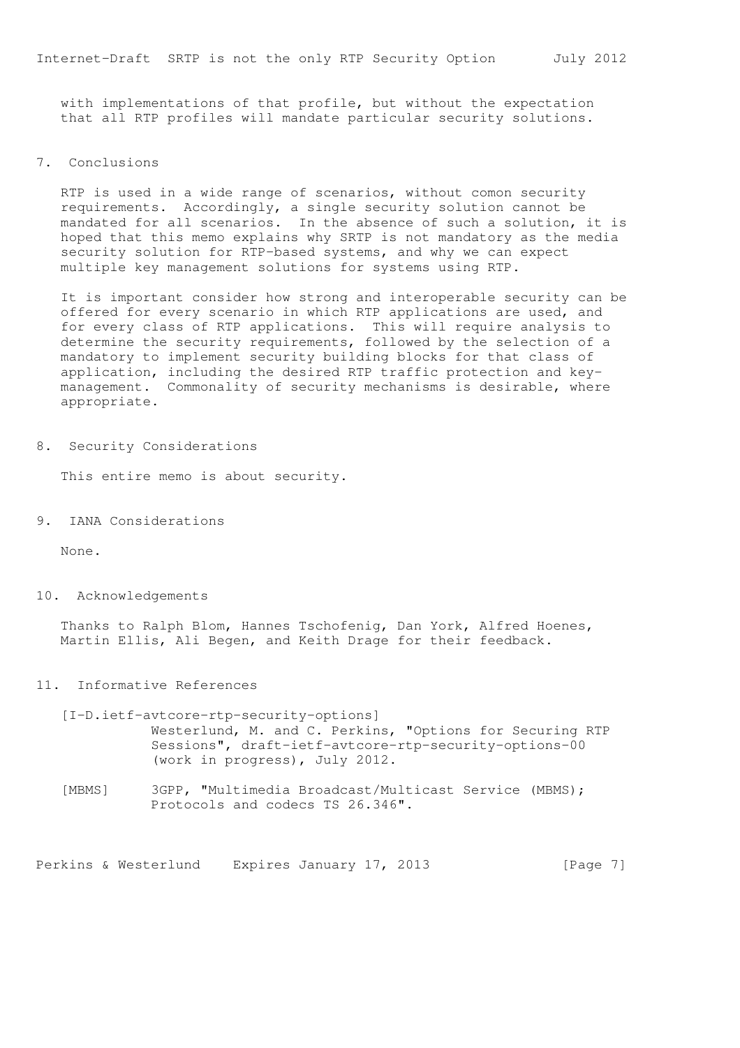with implementations of that profile, but without the expectation that all RTP profiles will mandate particular security solutions.

7. Conclusions

 RTP is used in a wide range of scenarios, without comon security requirements. Accordingly, a single security solution cannot be mandated for all scenarios. In the absence of such a solution, it is hoped that this memo explains why SRTP is not mandatory as the media security solution for RTP-based systems, and why we can expect multiple key management solutions for systems using RTP.

 It is important consider how strong and interoperable security can be offered for every scenario in which RTP applications are used, and for every class of RTP applications. This will require analysis to determine the security requirements, followed by the selection of a mandatory to implement security building blocks for that class of application, including the desired RTP traffic protection and key management. Commonality of security mechanisms is desirable, where appropriate.

8. Security Considerations

This entire memo is about security.

9. IANA Considerations

None.

10. Acknowledgements

 Thanks to Ralph Blom, Hannes Tschofenig, Dan York, Alfred Hoenes, Martin Ellis, Ali Begen, and Keith Drage for their feedback.

11. Informative References

 [I-D.ietf-avtcore-rtp-security-options] Westerlund, M. and C. Perkins, "Options for Securing RTP Sessions", draft-ietf-avtcore-rtp-security-options-00 (work in progress), July 2012.

 [MBMS] 3GPP, "Multimedia Broadcast/Multicast Service (MBMS); Protocols and codecs TS 26.346".

Perkins & Westerlund Expires January 17, 2013 [Page 7]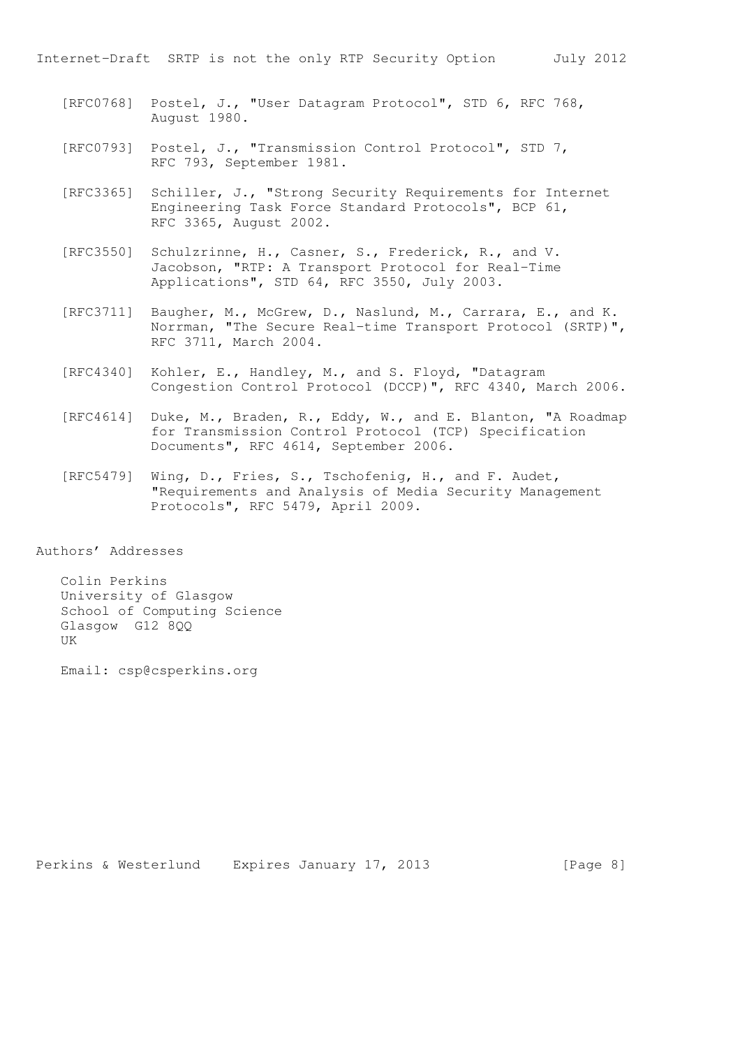Internet-Draft SRTP is not the only RTP Security Option July 2012

- [RFC0768] Postel, J., "User Datagram Protocol", STD 6, RFC 768, August 1980.
- [RFC0793] Postel, J., "Transmission Control Protocol", STD 7, RFC 793, September 1981.
- [RFC3365] Schiller, J., "Strong Security Requirements for Internet Engineering Task Force Standard Protocols", BCP 61, RFC 3365, August 2002.
- [RFC3550] Schulzrinne, H., Casner, S., Frederick, R., and V. Jacobson, "RTP: A Transport Protocol for Real-Time Applications", STD 64, RFC 3550, July 2003.
- [RFC3711] Baugher, M., McGrew, D., Naslund, M., Carrara, E., and K. Norrman, "The Secure Real-time Transport Protocol (SRTP)", RFC 3711, March 2004.
- [RFC4340] Kohler, E., Handley, M., and S. Floyd, "Datagram Congestion Control Protocol (DCCP)", RFC 4340, March 2006.
- [RFC4614] Duke, M., Braden, R., Eddy, W., and E. Blanton, "A Roadmap for Transmission Control Protocol (TCP) Specification Documents", RFC 4614, September 2006.
- [RFC5479] Wing, D., Fries, S., Tschofenig, H., and F. Audet, "Requirements and Analysis of Media Security Management Protocols", RFC 5479, April 2009.

Authors' Addresses

 Colin Perkins University of Glasgow School of Computing Science Glasgow G12 8QQ UK

Email: csp@csperkins.org